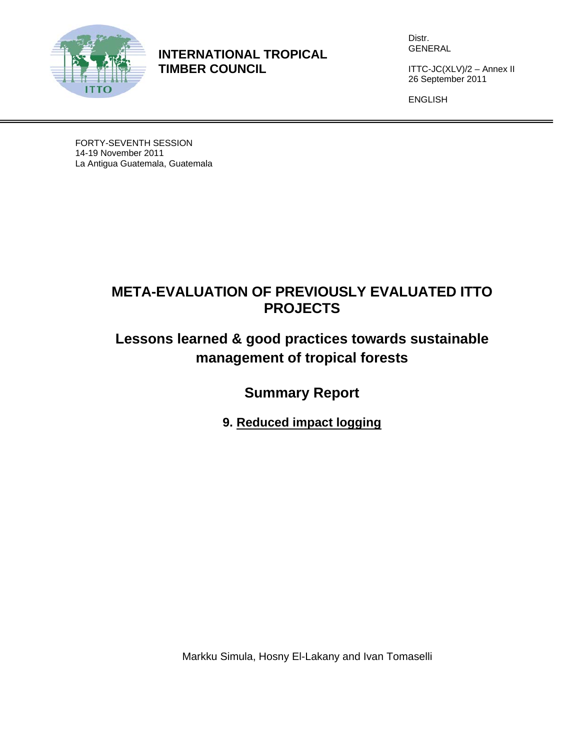

**INTERNATIONAL TROPICAL TIMBER COUNCIL** 

Distr. GENERAL

ITTC-JC(XLV)/2 – Annex II 26 September 2011

ENGLISH

FORTY-SEVENTH SESSION 14-19 November 2011 La Antigua Guatemala, Guatemala

## **META-EVALUATION OF PREVIOUSLY EVALUATED ITTO PROJECTS**

# **Lessons learned & good practices towards sustainable management of tropical forests**

**Summary Report** 

**9. Reduced impact logging** 

Markku Simula, Hosny El-Lakany and Ivan Tomaselli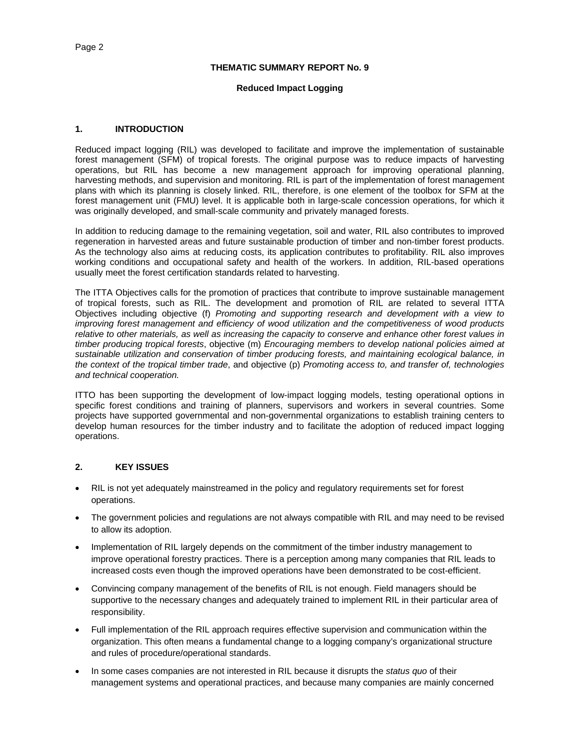#### **THEMATIC SUMMARY REPORT No. 9**

#### **Reduced Impact Logging**

#### **1. INTRODUCTION**

Reduced impact logging (RIL) was developed to facilitate and improve the implementation of sustainable forest management (SFM) of tropical forests. The original purpose was to reduce impacts of harvesting operations, but RIL has become a new management approach for improving operational planning, harvesting methods, and supervision and monitoring. RIL is part of the implementation of forest management plans with which its planning is closely linked. RIL, therefore, is one element of the toolbox for SFM at the forest management unit (FMU) level. It is applicable both in large-scale concession operations, for which it was originally developed, and small-scale community and privately managed forests.

In addition to reducing damage to the remaining vegetation, soil and water, RIL also contributes to improved regeneration in harvested areas and future sustainable production of timber and non-timber forest products. As the technology also aims at reducing costs, its application contributes to profitability. RIL also improves working conditions and occupational safety and health of the workers. In addition, RIL-based operations usually meet the forest certification standards related to harvesting.

The ITTA Objectives calls for the promotion of practices that contribute to improve sustainable management of tropical forests, such as RIL. The development and promotion of RIL are related to several ITTA Objectives including objective (f) *Promoting and supporting research and development with a view to improving forest management and efficiency of wood utilization and the competitiveness of wood products relative to other materials, as well as increasing the capacity to conserve and enhance other forest values in timber producing tropical forests*, objective (m) *Encouraging members to develop national policies aimed at sustainable utilization and conservation of timber producing forests, and maintaining ecological balance, in the context of the tropical timber trade*, and objective (p) *Promoting access to, and transfer of, technologies and technical cooperation.* 

ITTO has been supporting the development of low-impact logging models, testing operational options in specific forest conditions and training of planners, supervisors and workers in several countries. Some projects have supported governmental and non-governmental organizations to establish training centers to develop human resources for the timber industry and to facilitate the adoption of reduced impact logging operations.

## **2. KEY ISSUES**

- RIL is not yet adequately mainstreamed in the policy and regulatory requirements set for forest operations.
- The government policies and regulations are not always compatible with RIL and may need to be revised to allow its adoption.
- Implementation of RIL largely depends on the commitment of the timber industry management to improve operational forestry practices. There is a perception among many companies that RIL leads to increased costs even though the improved operations have been demonstrated to be cost-efficient.
- Convincing company management of the benefits of RIL is not enough. Field managers should be supportive to the necessary changes and adequately trained to implement RIL in their particular area of responsibility.
- Full implementation of the RIL approach requires effective supervision and communication within the organization. This often means a fundamental change to a logging company's organizational structure and rules of procedure/operational standards.
- In some cases companies are not interested in RIL because it disrupts the *status quo* of their management systems and operational practices, and because many companies are mainly concerned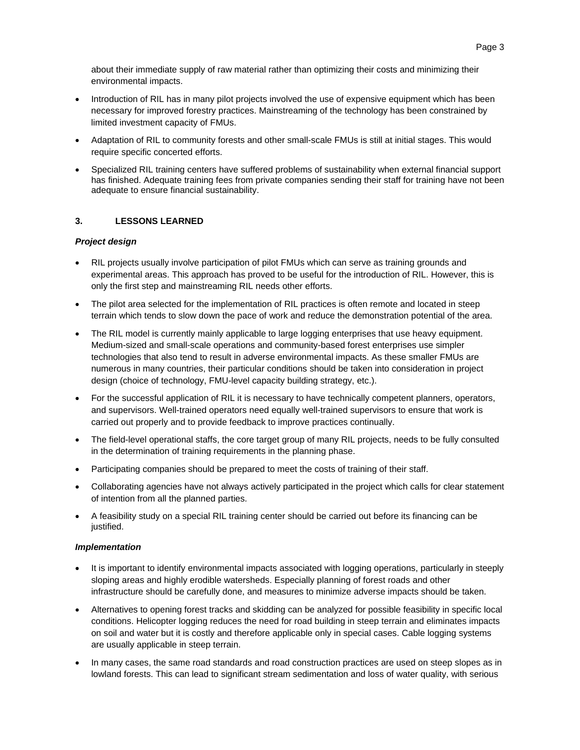about their immediate supply of raw material rather than optimizing their costs and minimizing their environmental impacts.

- Introduction of RIL has in many pilot projects involved the use of expensive equipment which has been necessary for improved forestry practices. Mainstreaming of the technology has been constrained by limited investment capacity of FMUs.
- Adaptation of RIL to community forests and other small-scale FMUs is still at initial stages. This would require specific concerted efforts.
- Specialized RIL training centers have suffered problems of sustainability when external financial support has finished. Adequate training fees from private companies sending their staff for training have not been adequate to ensure financial sustainability.

## **3. LESSONS LEARNED**

#### *Project design*

- RIL projects usually involve participation of pilot FMUs which can serve as training grounds and experimental areas. This approach has proved to be useful for the introduction of RIL. However, this is only the first step and mainstreaming RIL needs other efforts.
- The pilot area selected for the implementation of RIL practices is often remote and located in steep terrain which tends to slow down the pace of work and reduce the demonstration potential of the area.
- The RIL model is currently mainly applicable to large logging enterprises that use heavy equipment. Medium-sized and small-scale operations and community-based forest enterprises use simpler technologies that also tend to result in adverse environmental impacts. As these smaller FMUs are numerous in many countries, their particular conditions should be taken into consideration in project design (choice of technology, FMU-level capacity building strategy, etc.).
- For the successful application of RIL it is necessary to have technically competent planners, operators, and supervisors. Well-trained operators need equally well-trained supervisors to ensure that work is carried out properly and to provide feedback to improve practices continually.
- The field-level operational staffs, the core target group of many RIL projects, needs to be fully consulted in the determination of training requirements in the planning phase.
- Participating companies should be prepared to meet the costs of training of their staff.
- Collaborating agencies have not always actively participated in the project which calls for clear statement of intention from all the planned parties.
- A feasibility study on a special RIL training center should be carried out before its financing can be justified.

#### *Implementation*

- It is important to identify environmental impacts associated with logging operations, particularly in steeply sloping areas and highly erodible watersheds. Especially planning of forest roads and other infrastructure should be carefully done, and measures to minimize adverse impacts should be taken.
- Alternatives to opening forest tracks and skidding can be analyzed for possible feasibility in specific local conditions. Helicopter logging reduces the need for road building in steep terrain and eliminates impacts on soil and water but it is costly and therefore applicable only in special cases. Cable logging systems are usually applicable in steep terrain.
- In many cases, the same road standards and road construction practices are used on steep slopes as in lowland forests. This can lead to significant stream sedimentation and loss of water quality, with serious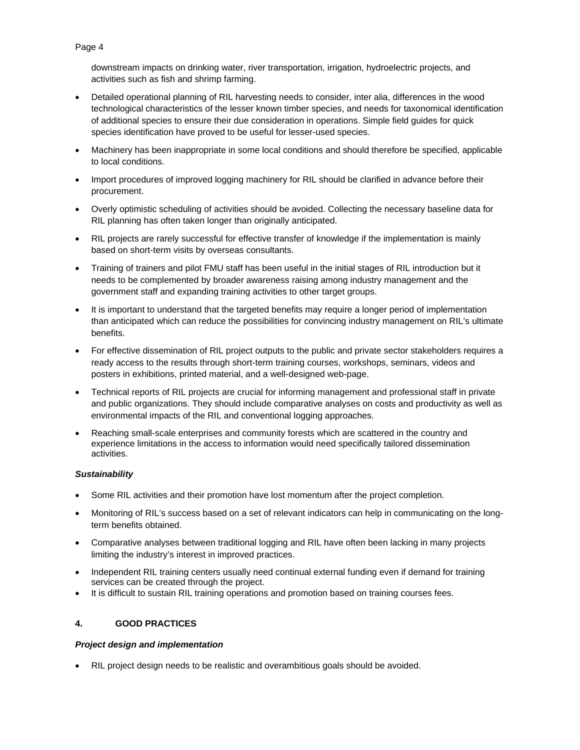downstream impacts on drinking water, river transportation, irrigation, hydroelectric projects, and activities such as fish and shrimp farming.

- Detailed operational planning of RIL harvesting needs to consider, inter alia, differences in the wood technological characteristics of the lesser known timber species, and needs for taxonomical identification of additional species to ensure their due consideration in operations. Simple field guides for quick species identification have proved to be useful for lesser-used species.
- Machinery has been inappropriate in some local conditions and should therefore be specified, applicable to local conditions.
- Import procedures of improved logging machinery for RIL should be clarified in advance before their procurement.
- Overly optimistic scheduling of activities should be avoided. Collecting the necessary baseline data for RIL planning has often taken longer than originally anticipated.
- RIL projects are rarely successful for effective transfer of knowledge if the implementation is mainly based on short-term visits by overseas consultants.
- Training of trainers and pilot FMU staff has been useful in the initial stages of RIL introduction but it needs to be complemented by broader awareness raising among industry management and the government staff and expanding training activities to other target groups.
- It is important to understand that the targeted benefits may require a longer period of implementation than anticipated which can reduce the possibilities for convincing industry management on RIL's ultimate benefits.
- For effective dissemination of RIL project outputs to the public and private sector stakeholders requires a ready access to the results through short-term training courses, workshops, seminars, videos and posters in exhibitions, printed material, and a well-designed web-page.
- Technical reports of RIL projects are crucial for informing management and professional staff in private and public organizations. They should include comparative analyses on costs and productivity as well as environmental impacts of the RIL and conventional logging approaches.
- Reaching small-scale enterprises and community forests which are scattered in the country and experience limitations in the access to information would need specifically tailored dissemination activities.

## *Sustainability*

- Some RIL activities and their promotion have lost momentum after the project completion.
- Monitoring of RIL's success based on a set of relevant indicators can help in communicating on the longterm benefits obtained.
- Comparative analyses between traditional logging and RIL have often been lacking in many projects limiting the industry's interest in improved practices.
- Independent RIL training centers usually need continual external funding even if demand for training services can be created through the project.
- It is difficult to sustain RIL training operations and promotion based on training courses fees.

## **4. GOOD PRACTICES**

## *Project design and implementation*

RIL project design needs to be realistic and overambitious goals should be avoided.

### Page 4